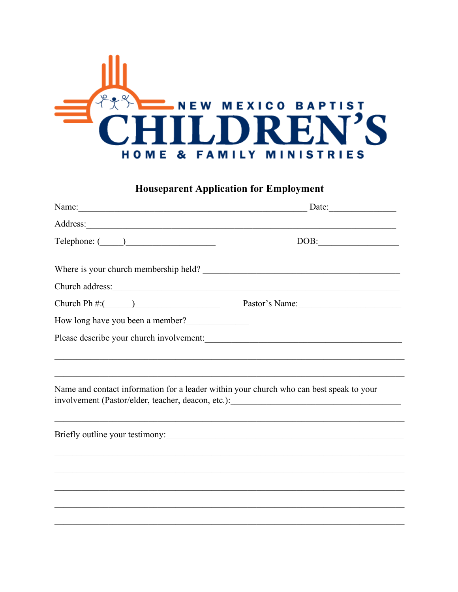

## **Houseparent Application for Employment**

|                                                                                                                                                                                                                                                                                                                                                                                                                                                                                                                                                                                                                       | Date:                                                                                     |
|-----------------------------------------------------------------------------------------------------------------------------------------------------------------------------------------------------------------------------------------------------------------------------------------------------------------------------------------------------------------------------------------------------------------------------------------------------------------------------------------------------------------------------------------------------------------------------------------------------------------------|-------------------------------------------------------------------------------------------|
|                                                                                                                                                                                                                                                                                                                                                                                                                                                                                                                                                                                                                       | the control of the control of the control of the control of the control of the control of |
| $\begin{tabular}{c} Telephone: (\underline{\hspace{1cm}}\underline{\hspace{1cm}}\underline{\hspace{1cm}}\underline{\hspace{1cm}}\underline{\hspace{1cm}}\underline{\hspace{1cm}}\underline{\hspace{1cm}}\underline{\hspace{1cm}}\underline{\hspace{1cm}}\underline{\hspace{1cm}}\underline{\hspace{1cm}}\underline{\hspace{1cm}}\underline{\hspace{1cm}}\underline{\hspace{1cm}}\underline{\hspace{1cm}}\underline{\hspace{1cm}}\underline{\hspace{1cm}}\underline{\hspace{1cm}}\underline{\hspace{1cm}}\underline{\hspace{1cm}}\underline{\hspace{1cm}}\underline{\hspace{1cm}}\underline{\hspace{1cm}}\underline{\$ | DOB:                                                                                      |
|                                                                                                                                                                                                                                                                                                                                                                                                                                                                                                                                                                                                                       |                                                                                           |
| Church address:                                                                                                                                                                                                                                                                                                                                                                                                                                                                                                                                                                                                       | Pastor's Name:                                                                            |
| How long have you been a member?                                                                                                                                                                                                                                                                                                                                                                                                                                                                                                                                                                                      |                                                                                           |
|                                                                                                                                                                                                                                                                                                                                                                                                                                                                                                                                                                                                                       |                                                                                           |
| Name and contact information for a leader within your church who can best speak to your                                                                                                                                                                                                                                                                                                                                                                                                                                                                                                                               | involvement (Pastor/elder, teacher, deacon, etc.): ______________________________         |
|                                                                                                                                                                                                                                                                                                                                                                                                                                                                                                                                                                                                                       |                                                                                           |
|                                                                                                                                                                                                                                                                                                                                                                                                                                                                                                                                                                                                                       |                                                                                           |
|                                                                                                                                                                                                                                                                                                                                                                                                                                                                                                                                                                                                                       |                                                                                           |
|                                                                                                                                                                                                                                                                                                                                                                                                                                                                                                                                                                                                                       |                                                                                           |
|                                                                                                                                                                                                                                                                                                                                                                                                                                                                                                                                                                                                                       |                                                                                           |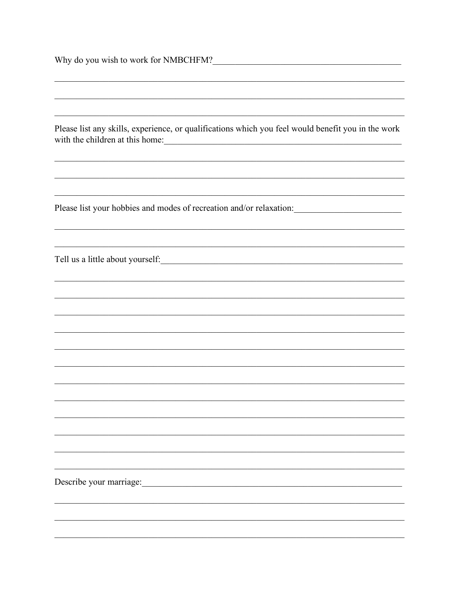| Why do you wish to work for NMBCHFM?                                                                           |
|----------------------------------------------------------------------------------------------------------------|
|                                                                                                                |
|                                                                                                                |
| Please list any skills, experience, or qualifications which you feel would benefit you in the work             |
|                                                                                                                |
| Please list your hobbies and modes of recreation and/or relaxation:<br><u> 1989 - Johann Barbara, martin a</u> |
|                                                                                                                |
|                                                                                                                |
|                                                                                                                |
|                                                                                                                |
|                                                                                                                |
|                                                                                                                |
|                                                                                                                |
|                                                                                                                |
|                                                                                                                |
|                                                                                                                |
|                                                                                                                |
|                                                                                                                |
| Describe your marriage:                                                                                        |
|                                                                                                                |
|                                                                                                                |
|                                                                                                                |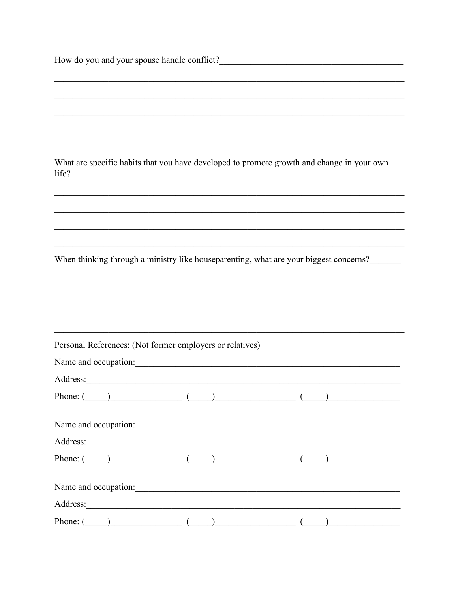| $\text{life?}$                                           | What are specific habits that you have developed to promote growth and change in your own |
|----------------------------------------------------------|-------------------------------------------------------------------------------------------|
|                                                          |                                                                                           |
|                                                          |                                                                                           |
|                                                          |                                                                                           |
|                                                          | When thinking through a ministry like houseparenting, what are your biggest concerns?     |
|                                                          |                                                                                           |
|                                                          |                                                                                           |
|                                                          |                                                                                           |
| Personal References: (Not former employers or relatives) |                                                                                           |
| Name and occupation:                                     |                                                                                           |
| Address:                                                 |                                                                                           |
|                                                          |                                                                                           |
|                                                          |                                                                                           |
|                                                          |                                                                                           |
|                                                          |                                                                                           |
|                                                          | Name and occupation:                                                                      |
|                                                          |                                                                                           |
|                                                          |                                                                                           |